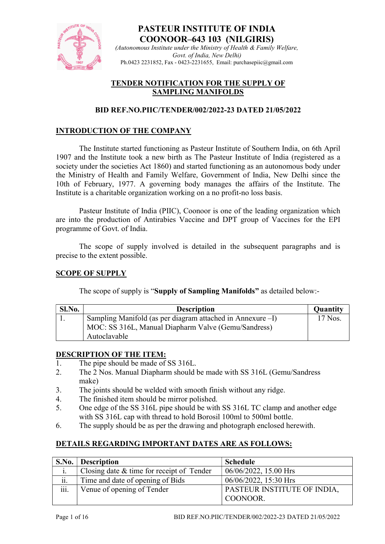

(Autonomous Institute under the Ministry of Health & Family Welfare, Govt. of India, New Delhi) Ph.0423 2231852, Fax - 0423-2231655, Email: purchasepiic@gmail.com

### TENDER NOTIFICATION FOR THE SUPPLY OF SAMPLING MANIFOLDS

### BID REF.NO.PIIC/TENDER/002/2022-23 DATED 21/05/2022

## INTRODUCTION OF THE COMPANY

The Institute started functioning as Pasteur Institute of Southern India, on 6th April 1907 and the Institute took a new birth as The Pasteur Institute of India (registered as a society under the societies Act 1860) and started functioning as an autonomous body under the Ministry of Health and Family Welfare, Government of India, New Delhi since the 10th of February, 1977. A governing body manages the affairs of the Institute. The Institute is a charitable organization working on a no profit-no loss basis.

Pasteur Institute of India (PIIC), Coonoor is one of the leading organization which are into the production of Antirabies Vaccine and DPT group of Vaccines for the EPI programme of Govt. of India.

The scope of supply involved is detailed in the subsequent paragraphs and is precise to the extent possible.

#### SCOPE OF SUPPLY

The scope of supply is "Supply of Sampling Manifolds" as detailed below:-

| Sl.No. | <b>Description</b>                                            | <b>Quantity</b> |
|--------|---------------------------------------------------------------|-----------------|
|        | Sampling Manifold (as per diagram attached in Annexure $-I$ ) | 17 Nos.         |
|        | MOC: SS 316L, Manual Diapharm Valve (Gemu/Sandress)           |                 |
|        | Autoclavable                                                  |                 |

#### DESCRIPTION OF THE ITEM:

- 1. The pipe should be made of SS 316L.
- 2. The 2 Nos. Manual Diapharm should be made with SS 316L (Gemu/Sandress make)
- 3. The joints should be welded with smooth finish without any ridge.
- 4. The finished item should be mirror polished.
- 5. One edge of the SS 316L pipe should be with SS 316L TC clamp and another edge with SS 316L cap with thread to hold Borosil 100ml to 500ml bottle.
- 6. The supply should be as per the drawing and photograph enclosed herewith.

### DETAILS REGARDING IMPORTANT DATES ARE AS FOLLOWS:

| S.No. | <b>Description</b>                        | <b>Schedule</b>             |
|-------|-------------------------------------------|-----------------------------|
| 1.    | Closing date & time for receipt of Tender | $06/06/2022$ , 15.00 Hrs    |
| ii.   | Time and date of opening of Bids          | 06/06/2022, 15:30 Hrs       |
| iii.  | Venue of opening of Tender                | PASTEUR INSTITUTE OF INDIA, |
|       |                                           | COONOOR.                    |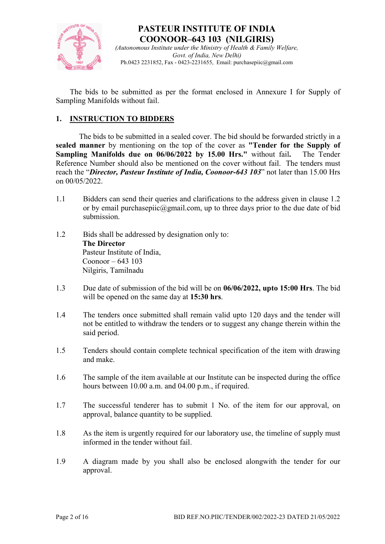

(Autonomous Institute under the Ministry of Health  $\&$  Family Welfare, Govt. of India, New Delhi) Ph.0423 2231852, Fax - 0423-2231655, Email: purchasepiic@gmail.com

The bids to be submitted as per the format enclosed in Annexure I for Supply of Sampling Manifolds without fail.

## 1. INSTRUCTION TO BIDDERS

The bids to be submitted in a sealed cover. The bid should be forwarded strictly in a sealed manner by mentioning on the top of the cover as "Tender for the Supply of Sampling Manifolds due on 06/06/2022 by 15.00 Hrs." without fail. The Tender Reference Number should also be mentioned on the cover without fail. The tenders must reach the "Director, Pasteur Institute of India, Coonoor-643 103" not later than 15.00 Hrs on 00/05/2022.

- 1.1 Bidders can send their queries and clarifications to the address given in clause 1.2 or by email purchasepiic@gmail.com, up to three days prior to the due date of bid submission.
- 1.2 Bids shall be addressed by designation only to: The Director Pasteur Institute of India, Coonoor –  $643$  103 Nilgiris, Tamilnadu
- 1.3 Due date of submission of the bid will be on 06/06/2022, upto 15:00 Hrs. The bid will be opened on the same day at 15:30 hrs.
- 1.4 The tenders once submitted shall remain valid upto 120 days and the tender will not be entitled to withdraw the tenders or to suggest any change therein within the said period.
- 1.5 Tenders should contain complete technical specification of the item with drawing and make.
- 1.6 The sample of the item available at our Institute can be inspected during the office hours between 10.00 a.m. and 04.00 p.m., if required.
- 1.7 The successful tenderer has to submit 1 No. of the item for our approval, on approval, balance quantity to be supplied.
- 1.8 As the item is urgently required for our laboratory use, the timeline of supply must informed in the tender without fail.
- 1.9 A diagram made by you shall also be enclosed alongwith the tender for our approval.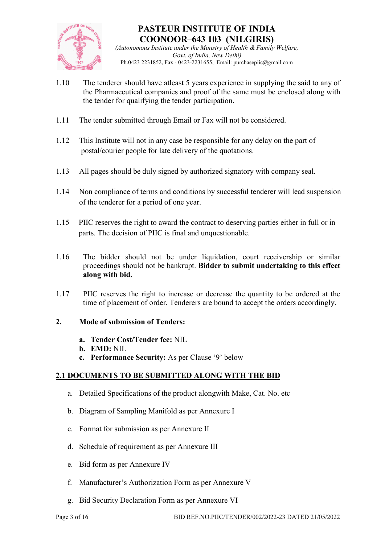

(Autonomous Institute under the Ministry of Health  $\&$  Family Welfare, Govt. of India, New Delhi) Ph.0423 2231852, Fax - 0423-2231655, Email: purchasepiic@gmail.com

- 1.10 The tenderer should have atleast 5 years experience in supplying the said to any of the Pharmaceutical companies and proof of the same must be enclosed along with the tender for qualifying the tender participation.
- 1.11 The tender submitted through Email or Fax will not be considered.
- 1.12 This Institute will not in any case be responsible for any delay on the part of postal/courier people for late delivery of the quotations.
- 1.13 All pages should be duly signed by authorized signatory with company seal.
- 1.14 Non compliance of terms and conditions by successful tenderer will lead suspension of the tenderer for a period of one year.
- 1.15 PIIC reserves the right to award the contract to deserving parties either in full or in parts. The decision of PIIC is final and unquestionable.
- 1.16 The bidder should not be under liquidation, court receivership or similar proceedings should not be bankrupt. Bidder to submit undertaking to this effect along with bid.
- 1.17 PIIC reserves the right to increase or decrease the quantity to be ordered at the time of placement of order. Tenderers are bound to accept the orders accordingly.

### 2. Mode of submission of Tenders:

- a. Tender Cost/Tender fee: NIL
- b. EMD: NIL
- c. Performance Security: As per Clause '9' below

### 2.1 DOCUMENTS TO BE SUBMITTED ALONG WITH THE BID

- a. Detailed Specifications of the product alongwith Make, Cat. No. etc
- b. Diagram of Sampling Manifold as per Annexure I
- c. Format for submission as per Annexure II
- d. Schedule of requirement as per Annexure III
- e. Bid form as per Annexure IV
- f. Manufacturer's Authorization Form as per Annexure V
- g. Bid Security Declaration Form as per Annexure VI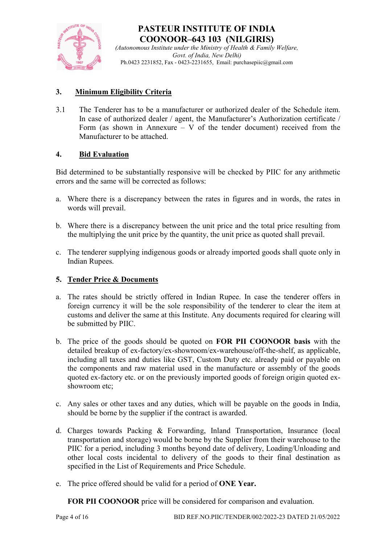

(Autonomous Institute under the Ministry of Health  $\&$  Family Welfare, Govt. of India, New Delhi) Ph.0423 2231852, Fax - 0423-2231655, Email: purchasepiic@gmail.com

## 3. Minimum Eligibility Criteria

3.1 The Tenderer has to be a manufacturer or authorized dealer of the Schedule item. In case of authorized dealer / agent, the Manufacturer's Authorization certificate / Form (as shown in Annexure – V of the tender document) received from the Manufacturer to be attached.

## 4. Bid Evaluation

Bid determined to be substantially responsive will be checked by PIIC for any arithmetic errors and the same will be corrected as follows:

- a. Where there is a discrepancy between the rates in figures and in words, the rates in words will prevail.
- b. Where there is a discrepancy between the unit price and the total price resulting from the multiplying the unit price by the quantity, the unit price as quoted shall prevail.
- c. The tenderer supplying indigenous goods or already imported goods shall quote only in Indian Rupees.

### 5. Tender Price & Documents

- a. The rates should be strictly offered in Indian Rupee. In case the tenderer offers in foreign currency it will be the sole responsibility of the tenderer to clear the item at customs and deliver the same at this Institute. Any documents required for clearing will be submitted by PIIC.
- b. The price of the goods should be quoted on FOR PII COONOOR basis with the detailed breakup of ex-factory/ex-showroom/ex-warehouse/off-the-shelf, as applicable, including all taxes and duties like GST, Custom Duty etc. already paid or payable on the components and raw material used in the manufacture or assembly of the goods quoted ex-factory etc. or on the previously imported goods of foreign origin quoted exshowroom etc;
- c. Any sales or other taxes and any duties, which will be payable on the goods in India, should be borne by the supplier if the contract is awarded.
- d. Charges towards Packing & Forwarding, Inland Transportation, Insurance (local transportation and storage) would be borne by the Supplier from their warehouse to the PIIC for a period, including 3 months beyond date of delivery, Loading/Unloading and other local costs incidental to delivery of the goods to their final destination as specified in the List of Requirements and Price Schedule.
- e. The price offered should be valid for a period of ONE Year.

FOR PII COONOOR price will be considered for comparison and evaluation.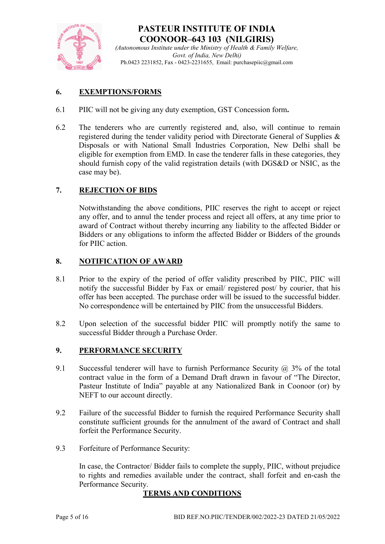

(Autonomous Institute under the Ministry of Health  $\&$  Family Welfare, Govt. of India, New Delhi) Ph.0423 2231852, Fax - 0423-2231655, Email: purchasepiic@gmail.com

## 6. EXEMPTIONS/FORMS

- 6.1 PIIC will not be giving any duty exemption, GST Concession form.
- 6.2 The tenderers who are currently registered and, also, will continue to remain registered during the tender validity period with Directorate General of Supplies & Disposals or with National Small Industries Corporation, New Delhi shall be eligible for exemption from EMD. In case the tenderer falls in these categories, they should furnish copy of the valid registration details (with DGS&D or NSIC, as the case may be).

### 7. REJECTION OF BIDS

Notwithstanding the above conditions, PIIC reserves the right to accept or reject any offer, and to annul the tender process and reject all offers, at any time prior to award of Contract without thereby incurring any liability to the affected Bidder or Bidders or any obligations to inform the affected Bidder or Bidders of the grounds for PIIC action.

### 8. NOTIFICATION OF AWARD

- 8.1 Prior to the expiry of the period of offer validity prescribed by PIIC, PIIC will notify the successful Bidder by Fax or email/ registered post/ by courier, that his offer has been accepted. The purchase order will be issued to the successful bidder. No correspondence will be entertained by PIIC from the unsuccessful Bidders.
- 8.2 Upon selection of the successful bidder PIIC will promptly notify the same to successful Bidder through a Purchase Order.

### 9. PERFORMANCE SECURITY

- 9.1 Successful tenderer will have to furnish Performance Security  $\omega$  3% of the total contract value in the form of a Demand Draft drawn in favour of "The Director, Pasteur Institute of India" payable at any Nationalized Bank in Coonoor (or) by NEFT to our account directly.
- 9.2 Failure of the successful Bidder to furnish the required Performance Security shall constitute sufficient grounds for the annulment of the award of Contract and shall forfeit the Performance Security.
- 9.3 Forfeiture of Performance Security:

In case, the Contractor/ Bidder fails to complete the supply, PIIC, without prejudice to rights and remedies available under the contract, shall forfeit and en-cash the Performance Security.

### TERMS AND CONDITIONS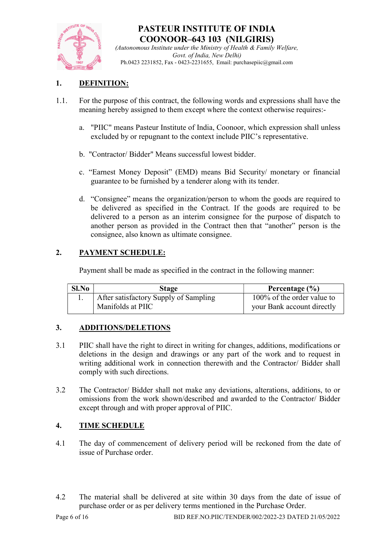

(Autonomous Institute under the Ministry of Health & Family Welfare, Govt. of India, New Delhi) Ph.0423 2231852, Fax - 0423-2231655, Email: purchasepiic@gmail.com

## 1. DEFINITION:

- 1.1. For the purpose of this contract, the following words and expressions shall have the meaning hereby assigned to them except where the context otherwise requires:
	- a. "PIIC" means Pasteur Institute of India, Coonoor, which expression shall unless excluded by or repugnant to the context include PIIC's representative.
	- b. "Contractor/ Bidder" Means successful lowest bidder.
	- c. "Earnest Money Deposit" (EMD) means Bid Security/ monetary or financial guarantee to be furnished by a tenderer along with its tender.
	- d. "Consignee" means the organization/person to whom the goods are required to be delivered as specified in the Contract. If the goods are required to be delivered to a person as an interim consignee for the purpose of dispatch to another person as provided in the Contract then that "another" person is the consignee, also known as ultimate consignee.

## 2. PAYMENT SCHEDULE:

Payment shall be made as specified in the contract in the following manner:

| Sl.No | Stage                                 | Percentage $(\% )$         |
|-------|---------------------------------------|----------------------------|
|       | After satisfactory Supply of Sampling | 100% of the order value to |
|       | Manifolds at PIIC                     | your Bank account directly |

## 3. ADDITIONS/DELETIONS

- 3.1 PIIC shall have the right to direct in writing for changes, additions, modifications or deletions in the design and drawings or any part of the work and to request in writing additional work in connection therewith and the Contractor/ Bidder shall comply with such directions.
- 3.2 The Contractor/ Bidder shall not make any deviations, alterations, additions, to or omissions from the work shown/described and awarded to the Contractor/ Bidder except through and with proper approval of PIIC.

## 4. TIME SCHEDULE

- 4.1 The day of commencement of delivery period will be reckoned from the date of issue of Purchase order.
- 4.2 The material shall be delivered at site within 30 days from the date of issue of purchase order or as per delivery terms mentioned in the Purchase Order.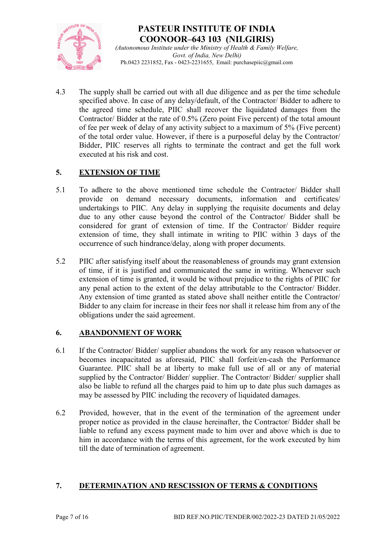

(Autonomous Institute under the Ministry of Health & Family Welfare, Govt. of India, New Delhi) Ph.0423 2231852, Fax - 0423-2231655, Email: purchasepiic@gmail.com

4.3 The supply shall be carried out with all due diligence and as per the time schedule specified above. In case of any delay/default, of the Contractor/ Bidder to adhere to the agreed time schedule, PIIC shall recover the liquidated damages from the Contractor/ Bidder at the rate of 0.5% (Zero point Five percent) of the total amount of fee per week of delay of any activity subject to a maximum of 5% (Five percent) of the total order value. However, if there is a purposeful delay by the Contractor/ Bidder, PIIC reserves all rights to terminate the contract and get the full work executed at his risk and cost.

## 5. EXTENSION OF TIME

- 5.1 To adhere to the above mentioned time schedule the Contractor/ Bidder shall provide on demand necessary documents, information and certificates/ undertakings to PIIC. Any delay in supplying the requisite documents and delay due to any other cause beyond the control of the Contractor/ Bidder shall be considered for grant of extension of time. If the Contractor/ Bidder require extension of time, they shall intimate in writing to PIIC within 3 days of the occurrence of such hindrance/delay, along with proper documents.
- 5.2 PIIC after satisfying itself about the reasonableness of grounds may grant extension of time, if it is justified and communicated the same in writing. Whenever such extension of time is granted, it would be without prejudice to the rights of PIIC for any penal action to the extent of the delay attributable to the Contractor/ Bidder. Any extension of time granted as stated above shall neither entitle the Contractor/ Bidder to any claim for increase in their fees nor shall it release him from any of the obligations under the said agreement.

### 6. ABANDONMENT OF WORK

- 6.1 If the Contractor/ Bidder/ supplier abandons the work for any reason whatsoever or becomes incapacitated as aforesaid, PIIC shall forfeit/en-cash the Performance Guarantee. PIIC shall be at liberty to make full use of all or any of material supplied by the Contractor/ Bidder/ supplier. The Contractor/ Bidder/ supplier shall also be liable to refund all the charges paid to him up to date plus such damages as may be assessed by PIIC including the recovery of liquidated damages.
- 6.2 Provided, however, that in the event of the termination of the agreement under proper notice as provided in the clause hereinafter, the Contractor/ Bidder shall be liable to refund any excess payment made to him over and above which is due to him in accordance with the terms of this agreement, for the work executed by him till the date of termination of agreement.

### 7. DETERMINATION AND RESCISSION OF TERMS & CONDITIONS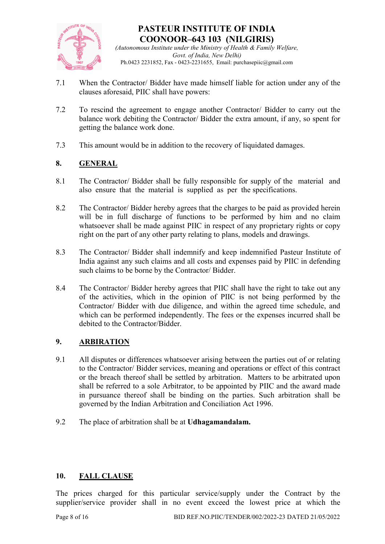

(Autonomous Institute under the Ministry of Health & Family Welfare, Govt. of India, New Delhi) Ph.0423 2231852, Fax - 0423-2231655, Email: purchasepiic@gmail.com

- 7.1 When the Contractor/ Bidder have made himself liable for action under any of the clauses aforesaid, PIIC shall have powers:
- 7.2 To rescind the agreement to engage another Contractor/ Bidder to carry out the balance work debiting the Contractor/ Bidder the extra amount, if any, so spent for getting the balance work done.
- 7.3 This amount would be in addition to the recovery of liquidated damages.

## 8. GENERAL

- 8.1 The Contractor/ Bidder shall be fully responsible for supply of the material and also ensure that the material is supplied as per the specifications.
- 8.2 The Contractor/ Bidder hereby agrees that the charges to be paid as provided herein will be in full discharge of functions to be performed by him and no claim whatsoever shall be made against PIIC in respect of any proprietary rights or copy right on the part of any other party relating to plans, models and drawings.
- 8.3 The Contractor/ Bidder shall indemnify and keep indemnified Pasteur Institute of India against any such claims and all costs and expenses paid by PIIC in defending such claims to be borne by the Contractor/ Bidder.
- 8.4 The Contractor/ Bidder hereby agrees that PIIC shall have the right to take out any of the activities, which in the opinion of PIIC is not being performed by the Contractor/ Bidder with due diligence, and within the agreed time schedule, and which can be performed independently. The fees or the expenses incurred shall be debited to the Contractor/Bidder.

## 9. ARBIRATION

- 9.1 All disputes or differences whatsoever arising between the parties out of or relating to the Contractor/ Bidder services, meaning and operations or effect of this contract or the breach thereof shall be settled by arbitration. Matters to be arbitrated upon shall be referred to a sole Arbitrator, to be appointed by PIIC and the award made in pursuance thereof shall be binding on the parties. Such arbitration shall be governed by the Indian Arbitration and Conciliation Act 1996.
- 9.2 The place of arbitration shall be at Udhagamandalam.

### 10. FALL CLAUSE

The prices charged for this particular service/supply under the Contract by the supplier/service provider shall in no event exceed the lowest price at which the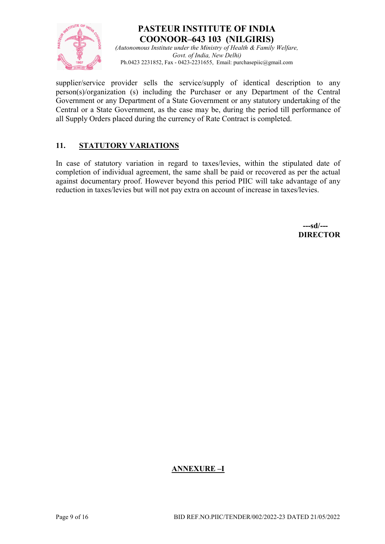

(Autonomous Institute under the Ministry of Health  $\&$  Family Welfare, Govt. of India, New Delhi) Ph.0423 2231852, Fax - 0423-2231655, Email: purchasepiic@gmail.com

supplier/service provider sells the service/supply of identical description to any person(s)/organization (s) including the Purchaser or any Department of the Central Government or any Department of a State Government or any statutory undertaking of the Central or a State Government, as the case may be, during the period till performance of all Supply Orders placed during the currency of Rate Contract is completed.

## 11. STATUTORY VARIATIONS

In case of statutory variation in regard to taxes/levies, within the stipulated date of completion of individual agreement, the same shall be paid or recovered as per the actual against documentary proof. However beyond this period PIIC will take advantage of any reduction in taxes/levies but will not pay extra on account of increase in taxes/levies.

 ---sd/--- **DIRECTOR** 

## ANNEXURE –I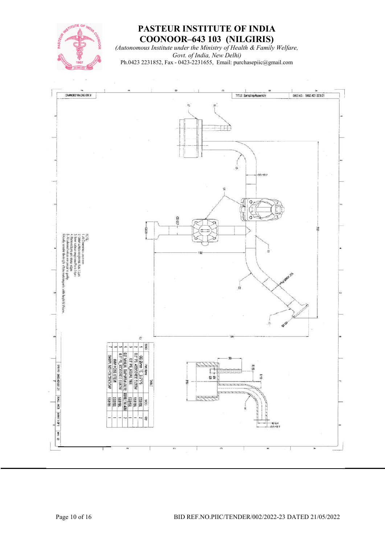

(Autonomous Institute under the Ministry of Health & Family Welfare, Govt. of India, New Delhi) Ph.0423 2231852, Fax - 0423-2231655, Email: purchasepiic@gmail.com

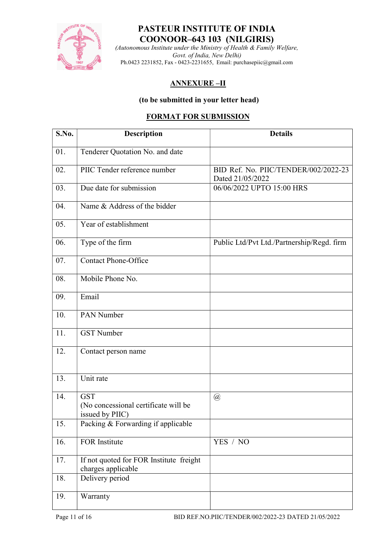![](_page_10_Picture_0.jpeg)

(Autonomous Institute under the Ministry of Health & Family Welfare, Govt. of India, New Delhi) Ph.0423 2231852, Fax - 0423-2231655, Email: purchasepiic@gmail.com

## ANNEXURE –II

### (to be submitted in your letter head)

## FORMAT FOR SUBMISSION

| S.No. | Description                                                           | <b>Details</b>                                           |
|-------|-----------------------------------------------------------------------|----------------------------------------------------------|
| 01.   | Tenderer Quotation No. and date                                       |                                                          |
| 02.   | PIIC Tender reference number                                          | BID Ref. No. PIIC/TENDER/002/2022-23<br>Dated 21/05/2022 |
| 03.   | Due date for submission                                               | 06/06/2022 UPTO 15:00 HRS                                |
| 04.   | Name & Address of the bidder                                          |                                                          |
| 05.   | Year of establishment                                                 |                                                          |
| 06.   | Type of the firm                                                      | Public Ltd/Pvt Ltd./Partnership/Regd. firm               |
| 07.   | Contact Phone-Office                                                  |                                                          |
| 08.   | Mobile Phone No.                                                      |                                                          |
| 09.   | Email                                                                 |                                                          |
| 10.   | PAN Number                                                            |                                                          |
| 11.   | <b>GST</b> Number                                                     |                                                          |
| 12.   | Contact person name                                                   |                                                          |
| 13.   | Unit rate                                                             |                                                          |
| 14.   | <b>GST</b><br>(No concessional certificate will be<br>issued by PIIC) | $\circleda$                                              |
| 15.   | Packing & Forwarding if applicable                                    |                                                          |
| 16.   | FOR Institute                                                         | YES / NO                                                 |
| 17.   | If not quoted for FOR Institute freight<br>charges applicable         |                                                          |
| 18.   | Delivery period                                                       |                                                          |
| 19.   | Warranty                                                              |                                                          |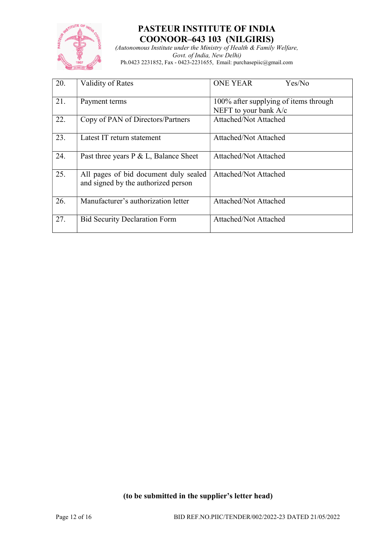![](_page_11_Picture_0.jpeg)

(Autonomous Institute under the Ministry of Health & Family Welfare, Govt. of India, New Delhi) Ph.0423 2231852, Fax - 0423-2231655, Email: purchasepiic@gmail.com

| 20. | Validity of Rates                                                            | <b>ONE YEAR</b><br>Yes/No                                      |
|-----|------------------------------------------------------------------------------|----------------------------------------------------------------|
| 21. | Payment terms                                                                | 100% after supplying of items through<br>NEFT to your bank A/c |
| 22. | Copy of PAN of Directors/Partners                                            | Attached/Not Attached                                          |
| 23. | Latest IT return statement                                                   | <b>Attached/Not Attached</b>                                   |
| 24. | Past three years $P \& L$ , Balance Sheet                                    | Attached/Not Attached                                          |
| 25. | All pages of bid document duly sealed<br>and signed by the authorized person | Attached/Not Attached                                          |
| 26. | Manufacturer's authorization letter                                          | Attached/Not Attached                                          |
| 27. | <b>Bid Security Declaration Form</b>                                         | <b>Attached/Not Attached</b>                                   |

## (to be submitted in the supplier's letter head)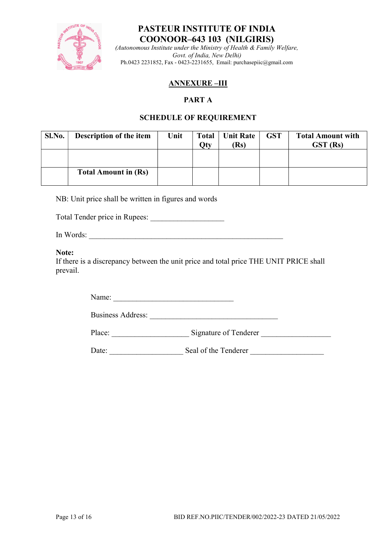![](_page_12_Picture_0.jpeg)

(Autonomous Institute under the Ministry of Health & Family Welfare, Govt. of India, New Delhi) Ph.0423 2231852, Fax - 0423-2231655, Email: purchasepiic@gmail.com

## ANNEXURE –III

### PART A

### SCHEDULE OF REQUIREMENT

| Sl.No. | Description of the item     | Unit | <b>Total</b><br>9 <sub>ty</sub> | Unit Rate<br>(Rs) | <b>GST</b> | <b>Total Amount with</b><br>GST (Rs) |
|--------|-----------------------------|------|---------------------------------|-------------------|------------|--------------------------------------|
|        |                             |      |                                 |                   |            |                                      |
|        | <b>Total Amount in (Rs)</b> |      |                                 |                   |            |                                      |

NB: Unit price shall be written in figures and words

Total Tender price in Rupees: \_\_\_\_\_\_\_\_\_\_\_\_\_\_\_\_\_\_\_

In Words:

Note:

If there is a discrepancy between the unit price and total price THE UNIT PRICE shall prevail.

Name: \_\_\_\_\_\_\_\_\_\_\_\_\_\_\_\_\_\_\_\_\_\_\_\_\_\_\_\_\_\_\_

Business Address:

Place: Signature of Tenderer

Date: Seal of the Tenderer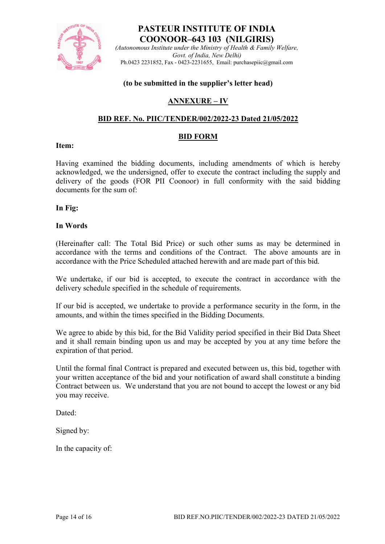![](_page_13_Picture_0.jpeg)

(Autonomous Institute under the Ministry of Health & Family Welfare, Govt. of India, New Delhi) Ph.0423 2231852, Fax - 0423-2231655, Email: purchasepiic@gmail.com

#### (to be submitted in the supplier's letter head)

### ANNEXURE – IV

### BID REF. No. PIIC/TENDER/002/2022-23 Dated 21/05/2022

#### BID FORM

### Item:

Having examined the bidding documents, including amendments of which is hereby acknowledged, we the undersigned, offer to execute the contract including the supply and delivery of the goods (FOR PII Coonoor) in full conformity with the said bidding documents for the sum of:

In Fig:

#### In Words

(Hereinafter call: The Total Bid Price) or such other sums as may be determined in accordance with the terms and conditions of the Contract. The above amounts are in accordance with the Price Scheduled attached herewith and are made part of this bid.

We undertake, if our bid is accepted, to execute the contract in accordance with the delivery schedule specified in the schedule of requirements.

If our bid is accepted, we undertake to provide a performance security in the form, in the amounts, and within the times specified in the Bidding Documents.

We agree to abide by this bid, for the Bid Validity period specified in their Bid Data Sheet and it shall remain binding upon us and may be accepted by you at any time before the expiration of that period.

Until the formal final Contract is prepared and executed between us, this bid, together with your written acceptance of the bid and your notification of award shall constitute a binding Contract between us. We understand that you are not bound to accept the lowest or any bid you may receive.

Dated:

Signed by:

In the capacity of: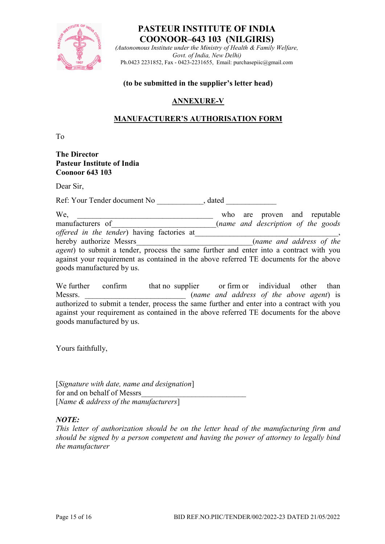![](_page_14_Picture_0.jpeg)

(Autonomous Institute under the Ministry of Health  $\&$  Family Welfare, Govt. of India, New Delhi) Ph.0423 2231852, Fax - 0423-2231655, Email: purchasepiic@gmail.com

#### (to be submitted in the supplier's letter head)

## ANNEXURE-V

## MANUFACTURER'S AUTHORISATION FORM

To

### The Director Pasteur Institute of India Coonoor 643 103

Dear Sir,

Ref: Your Tender document No  $\qquad \qquad$  , dated

| We,                                                                                            |  |  | who are proven and reputable       |  |  |
|------------------------------------------------------------------------------------------------|--|--|------------------------------------|--|--|
| manufacturers of                                                                               |  |  | (name and description of the goods |  |  |
| <i>offered in the tender</i> ) having factories at                                             |  |  |                                    |  |  |
| hereby authorize Messrs                                                                        |  |  | (name and address of the           |  |  |
| <i>agent</i> ) to submit a tender, process the same further and enter into a contract with you |  |  |                                    |  |  |
| against your requirement as contained in the above referred TE documents for the above         |  |  |                                    |  |  |
| goods manufactured by us.                                                                      |  |  |                                    |  |  |

We further confirm that no supplier or firm or individual other than Messrs.  $(name \text{ and address of the above agent})$  is authorized to submit a tender, process the same further and enter into a contract with you against your requirement as contained in the above referred TE documents for the above goods manufactured by us.

Yours faithfully,

[Signature with date, name and designation] for and on behalf of Messrs [Name & address of the manufacturers]

### NOTE:

This letter of authorization should be on the letter head of the manufacturing firm and should be signed by a person competent and having the power of attorney to legally bind the manufacturer